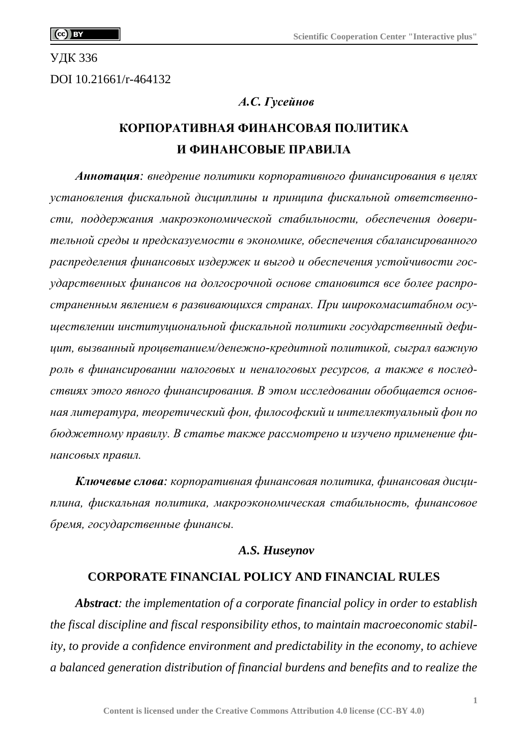УДК 336

DOI 10.21661/r-464132

#### *А.С. Гусейнов*

# **КОРПОРАТИВНАЯ ФИНАНСОВАЯ ПОЛИТИКА И ФИНАНСОВЫЕ ПРАВИЛА**

*Аннотация: внедрение политики корпоративного финансирования в целях установления фискальной дисциплины и принципа фискальной ответственности, поддержания макроэкономической стабильности, обеспечения доверительной среды и предсказуемости в экономике, обеспечения сбалансированного распределения финансовых издержек и выгод и обеспечения устойчивости государственных финансов на долгосрочной основе становится все более распространенным явлением в развивающихся странах. При широкомасштабном осуществлении институциональной фискальной политики государственный дефицит, вызванный процветанием/денежно-кредитной политикой, сыграл важную роль в финансировании налоговых и неналоговых ресурсов, а также в последствиях этого явного финансирования. В этом исследовании обобщается основная литература, теоретический фон, философский и интеллектуальный фон по бюджетному правилу. В статье также рассмотрено и изучено применение финансовых правил.*

*Ключевые слова: корпоративная финансовая политика, финансовая дисциплина, фискальная политика, макроэкономическая стабильность, финансовое бремя, государственные финансы.*

#### *A.S. Huseynov*

#### **CORPORATE FINANCIAL POLICY AND FINANCIAL RULES**

*Abstract: the implementation of a corporate financial policy in order to establish the fiscal discipline and fiscal responsibility ethos, to maintain macroeconomic stability, to provide a confidence environment and predictability in the economy, to achieve a balanced generation distribution of financial burdens and benefits and to realize the*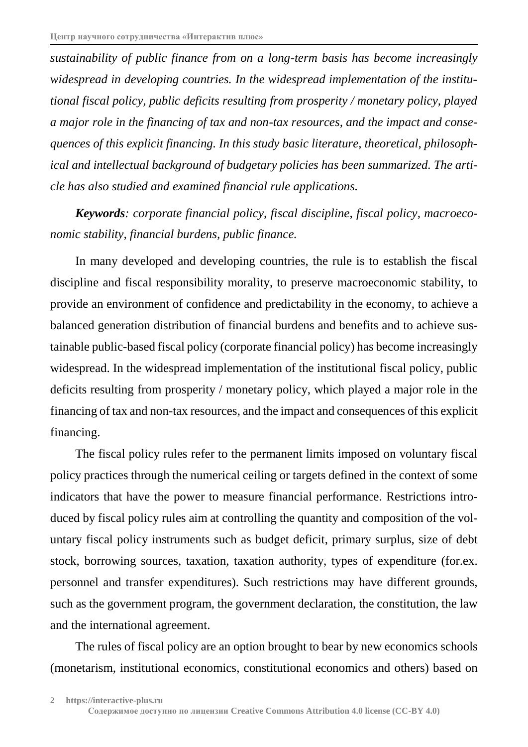*sustainability of public finance from on a long-term basis has become increasingly widespread in developing countries. In the widespread implementation of the institutional fiscal policy, public deficits resulting from prosperity / monetary policy, played a major role in the financing of tax and non-tax resources, and the impact and consequences of this explicit financing. In this study basic literature, theoretical, philosophical and intellectual background of budgetary policies has been summarized. The article has also studied and examined financial rule applications.*

*Keywords: corporate financial policy, fiscal discipline, fiscal policy, macroeconomic stability, financial burdens, public finance.*

In many developed and developing countries, the rule is to establish the fiscal discipline and fiscal responsibility morality, to preserve macroeconomic stability, to provide an environment of confidence and predictability in the economy, to achieve a balanced generation distribution of financial burdens and benefits and to achieve sustainable public-based fiscal policy (corporate financial policy) has become increasingly widespread. In the widespread implementation of the institutional fiscal policy, public deficits resulting from prosperity / monetary policy, which played a major role in the financing of tax and non-tax resources, and the impact and consequences of this explicit financing.

The fiscal policy rules refer to the permanent limits imposed on voluntary fiscal policy practices through the numerical ceiling or targets defined in the context of some indicators that have the power to measure financial performance. Restrictions introduced by fiscal policy rules aim at controlling the quantity and composition of the voluntary fiscal policy instruments such as budget deficit, primary surplus, size of debt stock, borrowing sources, taxation, taxation authority, types of expenditure (for.ex. personnel and transfer expenditures). Such restrictions may have different grounds, such as the government program, the government declaration, the constitution, the law and the international agreement.

The rules of fiscal policy are an option brought to bear by new economics schools (monetarism, institutional economics, constitutional economics and others) based on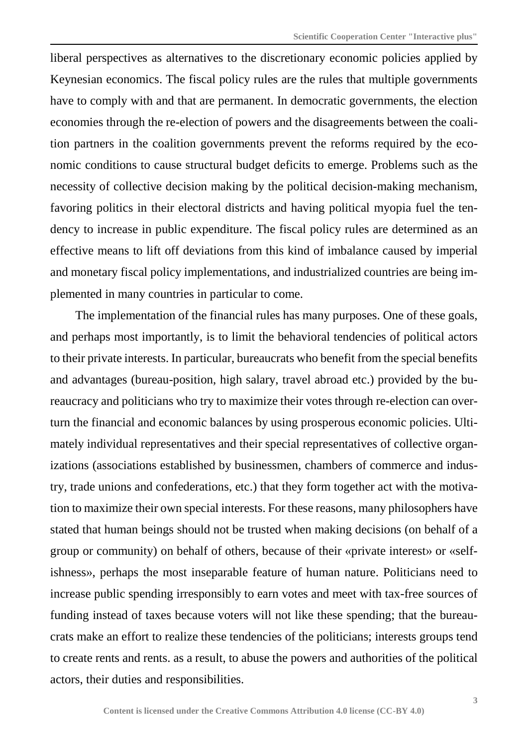liberal perspectives as alternatives to the discretionary economic policies applied by Keynesian economics. The fiscal policy rules are the rules that multiple governments have to comply with and that are permanent. In democratic governments, the election economies through the re-election of powers and the disagreements between the coalition partners in the coalition governments prevent the reforms required by the economic conditions to cause structural budget deficits to emerge. Problems such as the necessity of collective decision making by the political decision-making mechanism, favoring politics in their electoral districts and having political myopia fuel the tendency to increase in public expenditure. The fiscal policy rules are determined as an effective means to lift off deviations from this kind of imbalance caused by imperial and monetary fiscal policy implementations, and industrialized countries are being implemented in many countries in particular to come.

The implementation of the financial rules has many purposes. One of these goals, and perhaps most importantly, is to limit the behavioral tendencies of political actors to their private interests. In particular, bureaucrats who benefit from the special benefits and advantages (bureau-position, high salary, travel abroad etc.) provided by the bureaucracy and politicians who try to maximize their votes through re-election can overturn the financial and economic balances by using prosperous economic policies. Ultimately individual representatives and their special representatives of collective organizations (associations established by businessmen, chambers of commerce and industry, trade unions and confederations, etc.) that they form together act with the motivation to maximize their own special interests. For these reasons, many philosophers have stated that human beings should not be trusted when making decisions (on behalf of a group or community) on behalf of others, because of their «private interest» or «selfishness», perhaps the most inseparable feature of human nature. Politicians need to increase public spending irresponsibly to earn votes and meet with tax-free sources of funding instead of taxes because voters will not like these spending; that the bureaucrats make an effort to realize these tendencies of the politicians; interests groups tend to create rents and rents. as a result, to abuse the powers and authorities of the political actors, their duties and responsibilities.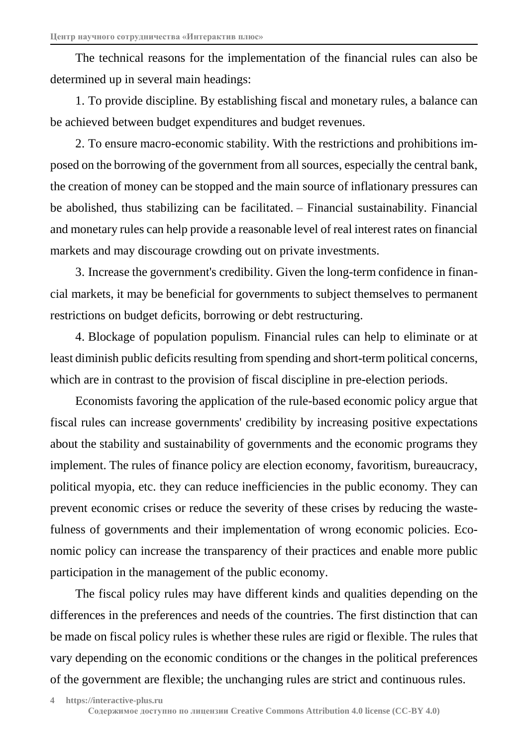The technical reasons for the implementation of the financial rules can also be determined up in several main headings:

1. To provide discipline. By establishing fiscal and monetary rules, a balance can be achieved between budget expenditures and budget revenues.

2. To ensure macro-economic stability. With the restrictions and prohibitions imposed on the borrowing of the government from all sources, especially the central bank, the creation of money can be stopped and the main source of inflationary pressures can be abolished, thus stabilizing can be facilitated. – Financial sustainability. Financial and monetary rules can help provide a reasonable level of real interest rates on financial markets and may discourage crowding out on private investments.

3. Increase the government's credibility. Given the long-term confidence in financial markets, it may be beneficial for governments to subject themselves to permanent restrictions on budget deficits, borrowing or debt restructuring.

4. Blockage of population populism. Financial rules can help to eliminate or at least diminish public deficits resulting from spending and short-term political concerns, which are in contrast to the provision of fiscal discipline in pre-election periods.

Economists favoring the application of the rule-based economic policy argue that fiscal rules can increase governments' credibility by increasing positive expectations about the stability and sustainability of governments and the economic programs they implement. The rules of finance policy are election economy, favoritism, bureaucracy, political myopia, etc. they can reduce inefficiencies in the public economy. They can prevent economic crises or reduce the severity of these crises by reducing the wastefulness of governments and their implementation of wrong economic policies. Economic policy can increase the transparency of their practices and enable more public participation in the management of the public economy.

The fiscal policy rules may have different kinds and qualities depending on the differences in the preferences and needs of the countries. The first distinction that can be made on fiscal policy rules is whether these rules are rigid or flexible. The rules that vary depending on the economic conditions or the changes in the political preferences of the government are flexible; the unchanging rules are strict and continuous rules.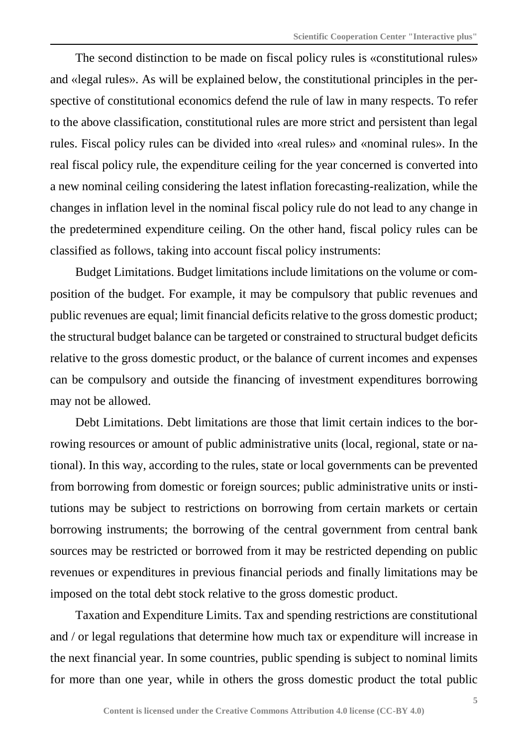The second distinction to be made on fiscal policy rules is «constitutional rules» and «legal rules». As will be explained below, the constitutional principles in the perspective of constitutional economics defend the rule of law in many respects. To refer to the above classification, constitutional rules are more strict and persistent than legal rules. Fiscal policy rules can be divided into «real rules» and «nominal rules». In the real fiscal policy rule, the expenditure ceiling for the year concerned is converted into a new nominal ceiling considering the latest inflation forecasting-realization, while the changes in inflation level in the nominal fiscal policy rule do not lead to any change in the predetermined expenditure ceiling. On the other hand, fiscal policy rules can be classified as follows, taking into account fiscal policy instruments:

Budget Limitations. Budget limitations include limitations on the volume or composition of the budget. For example, it may be compulsory that public revenues and public revenues are equal; limit financial deficits relative to the gross domestic product; the structural budget balance can be targeted or constrained to structural budget deficits relative to the gross domestic product, or the balance of current incomes and expenses can be compulsory and outside the financing of investment expenditures borrowing may not be allowed.

Debt Limitations. Debt limitations are those that limit certain indices to the borrowing resources or amount of public administrative units (local, regional, state or national). In this way, according to the rules, state or local governments can be prevented from borrowing from domestic or foreign sources; public administrative units or institutions may be subject to restrictions on borrowing from certain markets or certain borrowing instruments; the borrowing of the central government from central bank sources may be restricted or borrowed from it may be restricted depending on public revenues or expenditures in previous financial periods and finally limitations may be imposed on the total debt stock relative to the gross domestic product.

Taxation and Expenditure Limits. Tax and spending restrictions are constitutional and / or legal regulations that determine how much tax or expenditure will increase in the next financial year. In some countries, public spending is subject to nominal limits for more than one year, while in others the gross domestic product the total public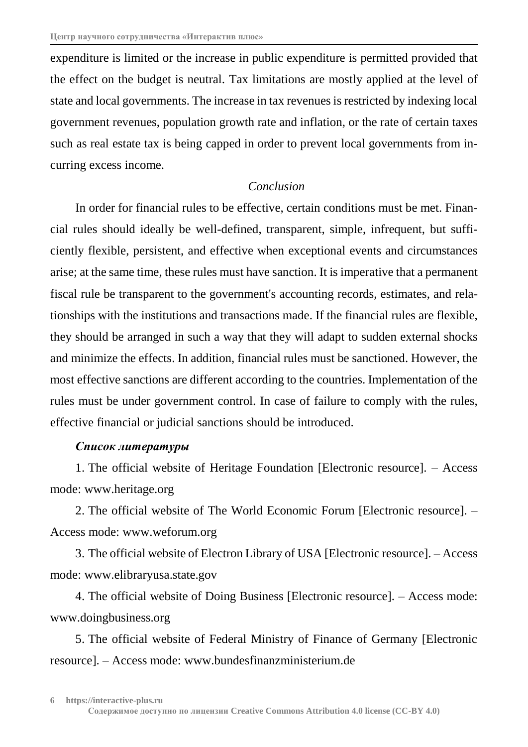expenditure is limited or the increase in public expenditure is permitted provided that the effect on the budget is neutral. Tax limitations are mostly applied at the level of state and local governments. The increase in tax revenues is restricted by indexing local government revenues, population growth rate and inflation, or the rate of certain taxes such as real estate tax is being capped in order to prevent local governments from incurring excess income.

## *Conclusion*

In order for financial rules to be effective, certain conditions must be met. Financial rules should ideally be well-defined, transparent, simple, infrequent, but sufficiently flexible, persistent, and effective when exceptional events and circumstances arise; at the same time, these rules must have sanction. It is imperative that a permanent fiscal rule be transparent to the government's accounting records, estimates, and relationships with the institutions and transactions made. If the financial rules are flexible, they should be arranged in such a way that they will adapt to sudden external shocks and minimize the effects. In addition, financial rules must be sanctioned. However, the most effective sanctions are different according to the countries. Implementation of the rules must be under government control. In case of failure to comply with the rules, effective financial or judicial sanctions should be introduced.

### *Список литературы*

1. The official website of Heritage Foundation [Electronic resource]. – Access mode: www.heritage.org

2. The official website of The World Economic Forum [Electronic resource]. – Access mode: www.weforum.org

3. The official website of Electron Library of USA [Electronic resource]. – Access mode: www.elibraryusa.state.gov

4. The official website of Doing Business [Electronic resource]. – Access mode: www.doingbusiness.org

5. The official website of Federal Ministry of Finance of Germany [Electronic resource]. – Access mode: www.bundesfinanzministerium.de